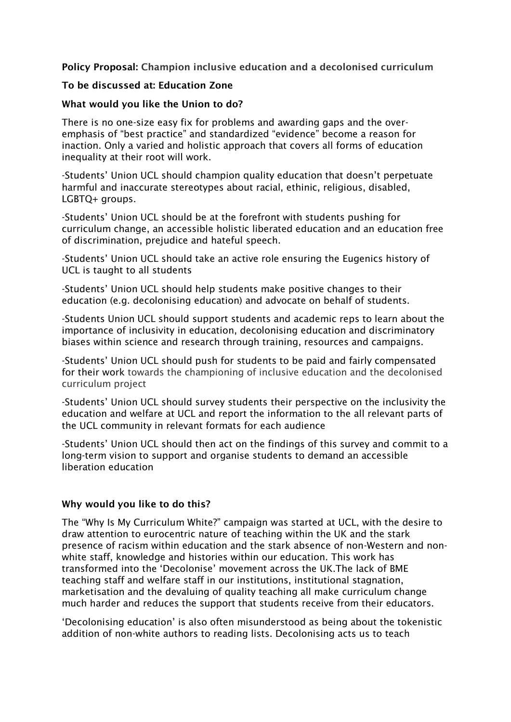Policy Proposal: Champion inclusive education and a decolonised curriculum

## To be discussed at: Education Zone

## What would you like the Union to do?

There is no one-size easy fix for problems and awarding gaps and the overemphasis of "best practice" and standardized "evidence" become a reason for inaction. Only a varied and holistic approach that covers all forms of education inequality at their root will work.

-Students' Union UCL should champion quality education that doesn't perpetuate harmful and inaccurate stereotypes about racial, ethinic, religious, disabled, LGBTQ+ groups.

-Students' Union UCL should be at the forefront with students pushing for curriculum change, an accessible holistic liberated education and an education free of discrimination, prejudice and hateful speech.

-Students' Union UCL should take an active role ensuring the Eugenics history of UCL is taught to all students

-Students' Union UCL should help students make positive changes to their education (e.g. decolonising education) and advocate on behalf of students.

-Students Union UCL should support students and academic reps to learn about the importance of inclusivity in education, decolonising education and discriminatory biases within science and research through training, resources and campaigns.

-Students' Union UCL should push for students to be paid and fairly compensated for their work towards the championing of inclusive education and the decolonised curriculum project

-Students' Union UCL should survey students their perspective on the inclusivity the education and welfare at UCL and report the information to the all relevant parts of the UCL community in relevant formats for each audience

-Students' Union UCL should then act on the findings of this survey and commit to a long-term vision to support and organise students to demand an accessible liberation education

## Why would you like to do this?

The "Why Is My Curriculum White?" campaign was started at UCL, with the desire to draw attention to eurocentric nature of teaching within the UK and the stark presence of racism within education and the stark absence of non-Western and nonwhite staff, knowledge and histories within our education. This work has transformed into the 'Decolonise' movement across the UK.The lack of BME teaching staff and welfare staff in our institutions, institutional stagnation, marketisation and the devaluing of quality teaching all make curriculum change much harder and reduces the support that students receive from their educators.

'Decolonising education' is also often misunderstood as being about the tokenistic addition of non-white authors to reading lists. Decolonising acts us to teach